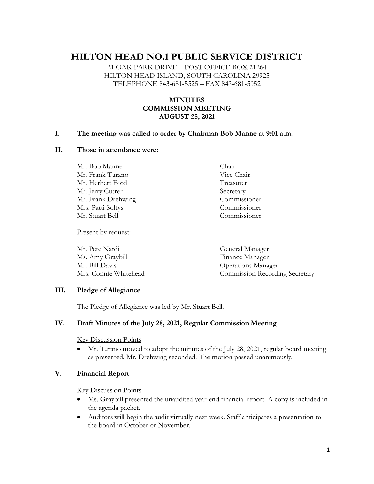# **HILTON HEAD NO.1 PUBLIC SERVICE DISTRICT**

21 OAK PARK DRIVE – POST OFFICE BOX 21264 HILTON HEAD ISLAND, SOUTH CAROLINA 29925 TELEPHONE 843-681-5525 – FAX 843-681-5052

# **MINUTES COMMISSION MEETING AUGUST 25, 2021**

#### **I. The meeting was called to order by Chairman Bob Manne at 9:01 a.m**.

## **II. Those in attendance were:**

Mr. Bob Manne Chair Mr. Frank Turano Vice Chair Mr. Herbert Ford Treasurer Mr. Jerry Cutrer Secretary Mr. Frank Drehwing Commissioner Mrs. Patti Soltys Commissioner Mr. Stuart Bell Commissioner

Present by request:

Mr. Pete Nardi General Manager Ms. Amy Graybill Finance Manager Mr. Bill Davis Operations Manager Mrs. Connie Whitehead Commission Recording Secretary

## **III. Pledge of Allegiance**

The Pledge of Allegiance was led by Mr. Stuart Bell.

## **IV. Draft Minutes of the July 28, 2021, Regular Commission Meeting**

Key Discussion Points

• Mr. Turano moved to adopt the minutes of the July 28, 2021, regular board meeting as presented. Mr. Drehwing seconded. The motion passed unanimously.

## **V. Financial Report**

Key Discussion Points

- Ms. Graybill presented the unaudited year-end financial report. A copy is included in the agenda packet.
- Auditors will begin the audit virtually next week. Staff anticipates a presentation to the board in October or November.